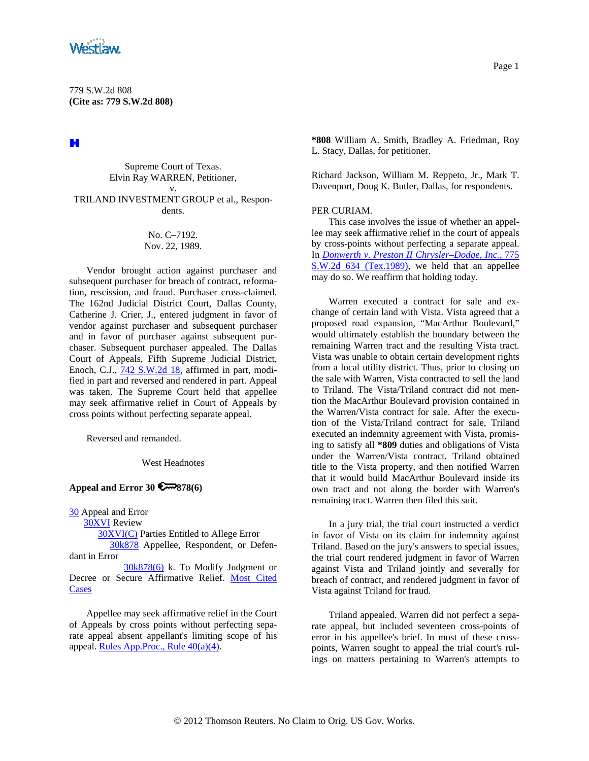

779 S.W.2d 808 **(Cite as: 779 S.W.2d 808)**

H

Supreme Court of Texas. Elvin Ray WARREN, Petitioner, v. TRILAND INVESTMENT GROUP et al., Respondents.

## No. C–7192. Nov. 22, 1989.

Vendor brought action against purchaser and subsequent purchaser for breach of contract, reformation, rescission, and fraud. Purchaser cross-claimed. The 162nd Judicial District Court, Dallas County, Catherine J. Crier, J., entered judgment in favor of vendor against purchaser and subsequent purchaser and in favor of purchaser against subsequent purchaser. Subsequent purchaser appealed. The Dallas Court of Appeals, Fifth Supreme Judicial District, Enoch, C.J., [742 S.W.2d 18,](http://www.westlaw.com/Find/Default.wl?rs=dfa1.0&vr=2.0&DB=713&FindType=Y&SerialNum=1988004186) affirmed in part, modified in part and reversed and rendered in part. Appeal was taken. The Supreme Court held that appellee may seek affirmative relief in Court of Appeals by cross points without perfecting separate appeal.

Reversed and remanded.

West Headnotes

## **Appeal and Error 30 878(6)**

[30](http://www.westlaw.com/KeyNumber/Default.wl?rs=dfa1.0&vr=2.0&CMD=KEY&DocName=30) Appeal and Error

[30XVI](http://www.westlaw.com/KeyNumber/Default.wl?rs=dfa1.0&vr=2.0&CMD=KEY&DocName=30XVI) Review

[30XVI\(C\)](http://www.westlaw.com/KeyNumber/Default.wl?rs=dfa1.0&vr=2.0&CMD=KEY&DocName=30XVI%28C%29) Parties Entitled to Allege Error

 [30k878](http://www.westlaw.com/KeyNumber/Default.wl?rs=dfa1.0&vr=2.0&CMD=KEY&DocName=30k878) Appellee, Respondent, or Defendant in Error

 [30k878\(6\)](http://www.westlaw.com/KeyNumber/Default.wl?rs=dfa1.0&vr=2.0&CMD=KEY&DocName=30k878%286%29) k. To Modify Judgment or Decree or Secure Affirmative Relief. [Most Cited](http://www.westlaw.com/Digest/Default.wl?rs=dfa1.0&vr=2.0&CMD=MCC&DocName=30k878%286%29)  **[Cases](http://www.westlaw.com/Digest/Default.wl?rs=dfa1.0&vr=2.0&CMD=MCC&DocName=30k878%286%29)** 

Appellee may seek affirmative relief in the Court of Appeals by cross points without perfecting separate appeal absent appellant's limiting scope of his appeal. [Rules App.Proc., Rule 40\(a\)\(4\)](http://www.westlaw.com/Find/Default.wl?rs=dfa1.0&vr=2.0&DB=1005302&DocName=TXRRAPR40&FindType=L).

Page 1

**\*808** William A. Smith, Bradley A. Friedman, Roy L. Stacy, Dallas, for petitioner.

Richard Jackson, William M. Reppeto, Jr., Mark T. Davenport, Doug K. Butler, Dallas, for respondents.

## PER CURIAM.

This case involves the issue of whether an appellee may seek affirmative relief in the court of appeals by cross-points without perfecting a separate appeal. In *[Donwerth v. Preston II Chrysler–Dodge, Inc.,](http://www.westlaw.com/Find/Default.wl?rs=dfa1.0&vr=2.0&DB=713&FindType=Y&SerialNum=1989100553)* [775](http://www.westlaw.com/Find/Default.wl?rs=dfa1.0&vr=2.0&DB=713&FindType=Y&SerialNum=1989100553)  [S.W.2d 634 \(Tex.1989\)](http://www.westlaw.com/Find/Default.wl?rs=dfa1.0&vr=2.0&DB=713&FindType=Y&SerialNum=1989100553), we held that an appellee may do so. We reaffirm that holding today.

Warren executed a contract for sale and exchange of certain land with Vista. Vista agreed that a proposed road expansion, "MacArthur Boulevard," would ultimately establish the boundary between the remaining Warren tract and the resulting Vista tract. Vista was unable to obtain certain development rights from a local utility district. Thus, prior to closing on the sale with Warren, Vista contracted to sell the land to Triland. The Vista/Triland contract did not mention the MacArthur Boulevard provision contained in the Warren/Vista contract for sale. After the execution of the Vista/Triland contract for sale, Triland executed an indemnity agreement with Vista, promising to satisfy all **\*809** duties and obligations of Vista under the Warren/Vista contract. Triland obtained title to the Vista property, and then notified Warren that it would build MacArthur Boulevard inside its own tract and not along the border with Warren's remaining tract. Warren then filed this suit.

In a jury trial, the trial court instructed a verdict in favor of Vista on its claim for indemnity against Triland. Based on the jury's answers to special issues, the trial court rendered judgment in favor of Warren against Vista and Triland jointly and severally for breach of contract, and rendered judgment in favor of Vista against Triland for fraud.

Triland appealed. Warren did not perfect a separate appeal, but included seventeen cross-points of error in his appellee's brief. In most of these crosspoints, Warren sought to appeal the trial court's rulings on matters pertaining to Warren's attempts to